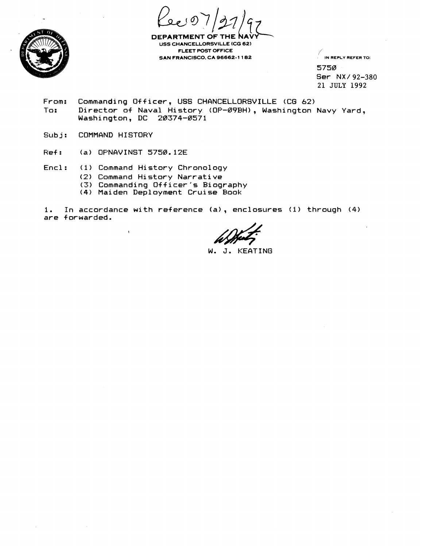



**DEPARTMENT OF USS CHANCELLORSVILLE (CG 62) FLEET POST OFFICE SAN FRANCISCO. CA 96662- 1 1 62** 

/' **IN REPLY REFER TO:** 

5758 **Ser NX/** 92-380 21 JULY 1992

- **From: Commanding Officer, USS CHANCELLOKSVILLE (CG 62) T'a** : **Director of Naval History (OP-89bH)** , **Washington Navy Yard, Mashington, DC** 28374-8571
- **Subj: COMMAND HISTORY**
- **Ref: (a) OPNAVINST** 5758.12E
- **Encl** : **(1** ) **Command Hi story Chronology**

 $\overline{\mathbf{1}}$ 

- **(2) Command History Narrative**
- **(3) Commanding Officer's Biography**
- **(4) Maiden Deployment Cruise Book**

**1. In accordance with reference (a)** , **enclosures (1) through** (4) **are f orwarded.** 

W. J. KEATING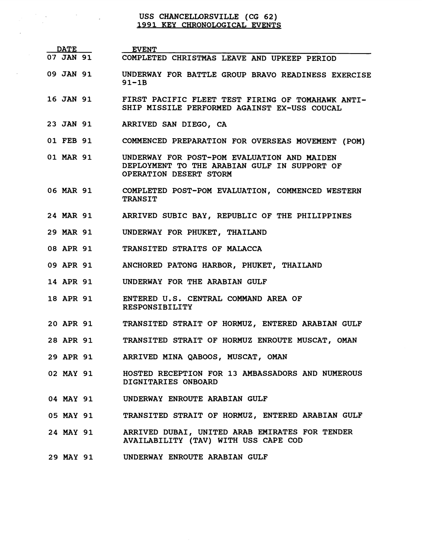## USS CHANCELLORSVILLE (CG 62)<br>1991 KEY CHRONOLOGICAL EVENTS

 $\mathcal{L}^{\text{max}}_{\text{max}}$  and  $\mathcal{L}^{\text{max}}_{\text{max}}$ 

 $\sim 10^{-10}$ 

| <b>DATE</b>      | <b>EVENT</b>                                                                                                          |
|------------------|-----------------------------------------------------------------------------------------------------------------------|
| <b>07 JAN 91</b> | COMPLETED CHRISTMAS LEAVE AND UPKEEP PERIOD                                                                           |
| 09 JAN 91        | UNDERWAY FOR BATTLE GROUP BRAVO READINESS EXERCISE<br>$91 - 1B$                                                       |
| <b>16 JAN 91</b> | FIRST PACIFIC FLEET TEST FIRING OF TOMAHAWK ANTI-<br>SHIP MISSILE PERFORMED AGAINST EX-USS COUCAL                     |
| <b>23 JAN 91</b> | ARRIVED SAN DIEGO, CA                                                                                                 |
| 01 FEB 91        | COMMENCED PREPARATION FOR OVERSEAS MOVEMENT (POM)                                                                     |
| 01 MAR 91        | UNDERWAY FOR POST-POM EVALUATION AND MAIDEN<br>DEPLOYMENT TO THE ARABIAN GULF IN SUPPORT OF<br>OPERATION DESERT STORM |
| <b>06 MAR 91</b> | COMPLETED POST-POM EVALUATION, COMMENCED WESTERN<br><b>TRANSIT</b>                                                    |
| 24 MAR 91        | ARRIVED SUBIC BAY, REPUBLIC OF THE PHILIPPINES                                                                        |
| <b>29 MAR 91</b> | UNDERWAY FOR PHUKET, THAILAND                                                                                         |
| <b>08 APR 91</b> | TRANSITED STRAITS OF MALACCA                                                                                          |
| 09 APR 91        | ANCHORED PATONG HARBOR, PHUKET, THAILAND                                                                              |
| <b>14 APR 91</b> | UNDERWAY FOR THE ARABIAN GULF                                                                                         |
| <b>18 APR 91</b> | ENTERED U.S. CENTRAL COMMAND AREA OF<br><b>RESPONSIBILITY</b>                                                         |
|                  | 20 APR 91 TRANSITED STRAIT OF HORMUZ, ENTERED ARABIAN GULF                                                            |
|                  | 28 APR 91 TRANSITED STRAIT OF HORMUZ ENROUTE MUSCAT, OMAN                                                             |
|                  | 29 APR 91 ARRIVED MINA QABOOS, MUSCAT, OMAN                                                                           |
| 02 MAY 91        | HOSTED RECEPTION FOR 13 AMBASSADORS AND NUMEROUS<br>DIGNITARIES ONBOARD                                               |
|                  | 04 MAY 91 UNDERWAY ENROUTE ARABIAN GULF                                                                               |
| 05 MAY 91        | TRANSITED STRAIT OF HORMUZ, ENTERED ARABIAN GULF                                                                      |
| 24 MAY 91        | ARRIVED DUBAI, UNITED ARAB EMIRATES FOR TENDER<br>AVAILABILITY (TAV) WITH USS CAPE COD                                |
|                  | 29 MAY 91 UNDERWAY ENROUTE ARABIAN GULF                                                                               |
|                  |                                                                                                                       |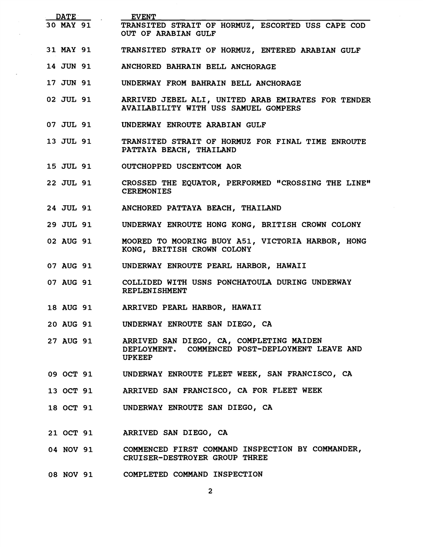| DATE PATE        | <b>EVENT</b>                                                                                                 |
|------------------|--------------------------------------------------------------------------------------------------------------|
| 30 MAY 91        | TRANSITED STRAIT OF HORMUZ, ESCORTED USS CAPE COD<br>OUT OF ARABIAN GULF                                     |
| 31 MAY 91        | TRANSITED STRAIT OF HORMUZ, ENTERED ARABIAN GULF                                                             |
| 14 JUN 91        | ANCHORED BAHRAIN BELL ANCHORAGE                                                                              |
| 17 JUN 91        | UNDERWAY FROM BAHRAIN BELL ANCHORAGE                                                                         |
| 02 JUL 91        | ARRIVED JEBEL ALI, UNITED ARAB EMIRATES FOR TENDER<br>AVAILABILITY WITH USS SAMUEL GOMPERS                   |
| 07 JUL 91        | UNDERWAY ENROUTE ARABIAN GULF                                                                                |
| 13 JUL 91        | TRANSITED STRAIT OF HORMUZ FOR FINAL TIME ENROUTE<br>PATTAYA BEACH, THAILAND                                 |
| 15 JUL 91        | OUTCHOPPED USCENTCOM AOR                                                                                     |
| 22 JUL 91        | CROSSED THE EQUATOR, PERFORMED "CROSSING THE LINE"<br><b>CEREMONIES</b>                                      |
| 24 JUL 91        | ANCHORED PATTAYA BEACH, THAILAND                                                                             |
| 29 JUL 91        | UNDERWAY ENROUTE HONG KONG, BRITISH CROWN COLONY                                                             |
| 02 AUG 91        | MOORED TO MOORING BUOY A51, VICTORIA HARBOR, HONG<br>KONG, BRITISH CROWN COLONY                              |
| 07 AUG 91        | UNDERWAY ENROUTE PEARL HARBOR, HAWAII                                                                        |
| 07 AUG 91        | COLLIDED WITH USNS PONCHATOULA DURING UNDERWAY<br><b>REPLENISHMENT</b>                                       |
|                  | 18 AUG 91 ARRIVED PEARL HARBOR, HAWAII                                                                       |
| <b>20 AUG 91</b> | UNDERWAY ENROUTE SAN DIEGO, CA                                                                               |
| 27 AUG 91        | ARRIVED SAN DIEGO, CA, COMPLETING MAIDEN<br>DEPLOYMENT. COMMENCED POST-DEPLOYMENT LEAVE AND<br><b>UPKEEP</b> |
| 09 OCT 91        | UNDERWAY ENROUTE FLEET WEEK, SAN FRANCISCO, CA                                                               |
| 13 OCT 91        | ARRIVED SAN FRANCISCO, CA FOR FLEET WEEK                                                                     |
| 18 OCT 91        | UNDERWAY ENROUTE SAN DIEGO, CA                                                                               |
| 21 OCT 91        | ARRIVED SAN DIEGO, CA                                                                                        |
| 04 NOV 91        | COMMENCED FIRST COMMAND INSPECTION BY COMMANDER,<br>CRUISER-DESTROYER GROUP THREE                            |
|                  | 08 NOV 91 COMPLETED COMMAND INSPECTION                                                                       |
|                  | $\mathbf{2}$                                                                                                 |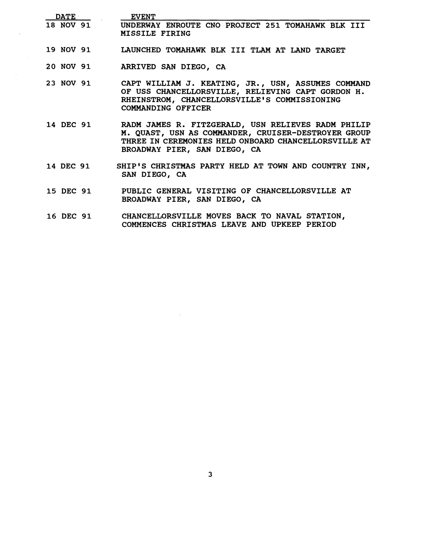| <b>DATE</b>      | <b>EVENT</b>                                                                                                                                                                                      |
|------------------|---------------------------------------------------------------------------------------------------------------------------------------------------------------------------------------------------|
|                  | 18 NOV 91 UNDERWAY ENROUTE CNO PROJECT 251 TOMAHAWK BLK III<br>MISSILE FIRING                                                                                                                     |
| <b>19 NOV 91</b> | LAUNCHED TOMAHAWK BLK III TLAM AT LAND TARGET                                                                                                                                                     |
| 20 NOV 91        | ARRIVED SAN DIEGO, CA                                                                                                                                                                             |
| 23 NOV 91        | CAPT WILLIAM J. KEATING, JR., USN, ASSUMES COMMAND<br>OF USS CHANCELLORSVILLE, RELIEVING CAPT GORDON H.<br>RHEINSTROM, CHANCELLORSVILLE'S COMMISSIONING<br>COMMANDING OFFICER                     |
| 14 DEC 91        | RADM JAMES R. FITZGERALD, USN RELIEVES RADM PHILIP<br>M. QUAST, USN AS COMMANDER, CRUISER-DESTROYER GROUP<br>THREE IN CEREMONIES HELD ONBOARD CHANCELLORSVILLE AT<br>BROADWAY PIER, SAN DIEGO, CA |
| 14 DEC 91        | SHIP'S CHRISTMAS PARTY HELD AT TOWN AND COUNTRY INN,<br>SAN DIEGO, CA                                                                                                                             |
| 15 DEC 91        | PUBLIC GENERAL VISITING OF CHANCELLORSVILLE AT<br>BROADWAY PIER, SAN DIEGO, CA                                                                                                                    |
| 16 DEC 91        | CHANCELLORSVILLE MOVES BACK TO NAVAL STATION,<br>COMMENCES CHRISTMAS LEAVE AND UPKEEP PERIOD                                                                                                      |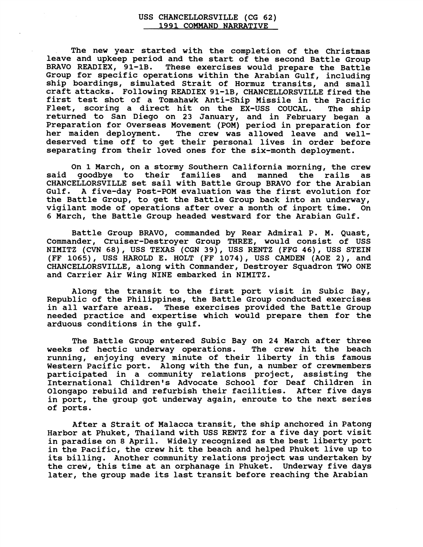## **USS CHANCELLORSVILLE (CG 62) 1991 COMMAND NARRATIVE**

**The new year started with the completion of the Christmas leave and upkeep period and the start of the second Battle Group**  These exercises would prepare the Battle **Group for specific operations within the Arabian Gulf, including ship boardings, simulated Strait of Hormuz transits, and small craft attacks. Following READIEX 91-lB, CHANCELLORSVILLE fired the first test shot of a Tomahawk Anti-Ship Missile in the Pacific Fleet, scoring a direct hit on the EX-USS COUCAL. The ship returned to San Diego on 23 January, and in February began a preparation for Overseas Movement (POM) period in preparation for**  The crew was allowed leave and well**deserved time off to get their personal lives in order before separating from their loved ones for the six-month deployment.** 

**On 1 March, on a stormy Southern California morning, the crew said goodbye to their families and manned the rails as CHANCELLORSVILLE set sail with Battle Group BRAVO for the Arabian Gulf. A five-day Post-POM evaluation was the first evolution for the Battle Group, to get the Battle Group back into an underway, vigilant mode of operations after over a month of inport time. On 6 March, the Battle Group headed westward for the Arabian Gulf.** 

**Battle Group BRAVO, commanded by Rear Admiral P. M. Quast, Commander, Cruiser-Destroyer Group THREE, would consist of USS NIMITZ (CVN 68)** , **USS TEXAS (CGN 39), USS RENTZ (FFG 46)** , **USS STEIN (FF 1065), USS HAROLD E. HOLT (FF 1074), USS CAMDEN (AOE 2), and CHANCELLORSVILLE, along with Commander, Destroyer Squadron TWO ONE and Carrier Air Wing NINE embarked in NIMITZ.** 

**Along the transit to the first port visit in Subic Bay, Republic of the Philippines, the Battle Group conducted exercises in all warfare areas. These exercises provided the Battle Group needed practice and expertise which would prepare them for the arduous conditions in the gulf.** 

**The Battle Group entered Subic Bay on 24 March after three weeks of hectic underway operations. The crew hit the beach running, enjoying every minute of their liberty in this famous Western Pacific port. Along with the fun, a number of crewmembers participated in a community relations project, assisting the International Children's Advocate School for Deaf Children in Olongapo rebuild and refurbish their facilities. After five days in port, the group got underway again, enroute to the next series of ports.** 

**After a Strait of Malacca transit, the ship anchored in Patong Harbor at Phuket, Thailand with USS RENTZ for a five day port visit in paradise on 8 April. Widely recognized as the best liberty port in the Pacific, the crew hit the beach and helped Phuket live up to its billing. Another community relations project was undertaken by the crew, this time at an orphanage in Phuket. Underway five days later, the group made its last transit before reaching the Arabian**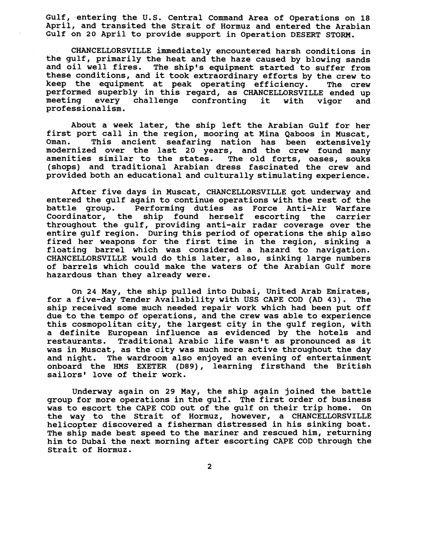**Gulf, -entering the U.S. Central Command Area of operations on 18 April, and transited the strait of Hormuz and entered the Arabian Gulf on 20 April to provide support in Operation DESERT STORM.** 

**CHANCELLORSVILLE immediately encountered harsh conditions in the gulf, primarily the heat and the haze caused by blowing sands and oil well fires. The ship's equipment started to suffer from these conditions, and it took extraordinary efforts by the crew to keep the equipment at peak operating efficiency. The crew performed superbly in this regard, as CHANCELLORSVILLE ended up meeting every challenge confronting it with vigor and professionalism.** 

**About a week later, the ship left the Arabian Gulf for her first port call in the region, mooring at Mina Qaboos in Muscat, Oman. This ancient seafaring nation has been extensively modernized over the last 20 years, and the crew found many amenities similar to the states. The old forts, oases, souks (shops) and traditional Arabian dress fascinated the crew and provided both an educational and culturally stimulating experience.** 

**After five days in Muscat, CHANCELLORSVILLE got underway and entered the gulf again to continue operations with the rest of the**  Performing duties as Force Anti-Air Warfare **Coordinator, the ship found herself escorting the carrier throughout the gulf, providing anti-air radar coverage over the entire gulf region. During this period of operations the ship also fired her weapons for the first time in the region, sinking a floating barrel which was considered a hazard to navigation. CHANCELLORSVILLE would do this later, also, sinking large numbers of barrels which could make the waters of the Arabian Gulf more hazardous than they already were.** 

**On 24 May, the ship pulled into Dubai, United Arab Emirates, for a five-day Tender Availability with USS CAPE COD (AD 43). The ship received some much needed repair work which had been put off due to the tempo of operations, and the crew was able to experience this cosmopolitan city, the largest city in the gulf region, with a definite European influence as evidenced by the hotels and restaurants. Traditional Arabic life wasn't as pronounced as it was in Muscat, as the city was much more active throughout the day and night. The wardroom also enjoyed an evening of entertainment onboard the HMS EXETER (D89), learning firsthand the British**  sailors' love of their work.

**Underway again on 29 May, the ship again joined the battle group for more operations in the gulf. The first order of business was to escort the CAPE COD out of the gulf on their trip home. On the way to the Strait of Hormuz, however, a CHANCELLORSVILLE helicopter discovered a fisherman distressed in his sinking boat. The ship made best speed to the mariner and rescued him, returning him to Dubai the next morning after escorting CAPE COD through the Strait of Hormuz.**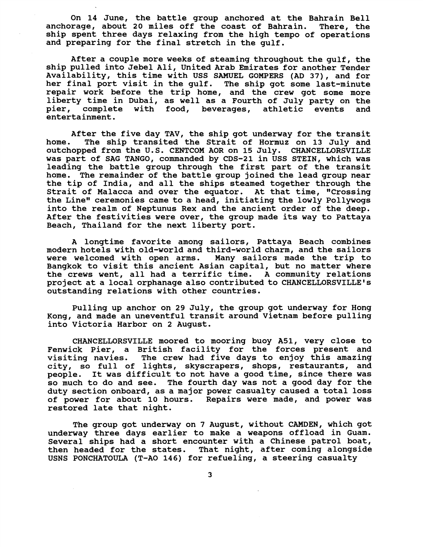**On 14 June, the battle group anchored at the Bahrain Bell anchorage, about 20 miles off the coast of Bahrain. There, the ship spent three days relaxing from the high tempo of operations and preparing for the final stretch in the gulf.** 

**After a couple more weeks of steaming throughout the gulf, the ship pulled into Jebel Ali, United Arab Emirates for another Tender Availability, this time with USS SAMUEL GOMPERS (AD 37)** , **and for her final port visit in the gulf. The ship got some last-minute repair work before the trip home, and the crew got some more liberty time in Dubai, as well as a Fourth of July party on the pier, complete with food, beverages, athletic events and entertainment.** 

**After the five day TAV, the ship got underway for the transit home. The ship transited the Strait of Hormuz on 13 July and outchopped from the U.S. CENTCOM AOR on 15 July. CHANCELLORSVILLE was part of SAG TANGO, commanded by CDS-21 in USS STEIN, which was leading the battle group through the first part of the transit home. The remainder of the battle group joined the lead group near the tip of India, and all the ships steamed together through the Strait of Malacca and over the equator. At that time, "Crossing the Line" ceremonies came to a head, initiating the lowly Pollywogs into the realm of Neptunus Rex and the ancient order of the deep. After the festivities were over, the group made its way to Pattaya Beach, Thailand for the next liberty port.** 

**A longtime favorite among sailors, Pattaya Beach combines modern hotels with old-world and third-world charm, and the sailors were welcomed with open arms. Many sailors made the trip to Bangkok to visit this ancient Asian capital, but no matter where the crews went, all had a terrific time. A community relations project at a local orphanage also contributed to CHANCELLORSVILLEts outstanding relations with other countries.** 

**Pulling up anchor on 29 July, the group got underway for Hong Kong, and made an uneventful transit around Vietnam before pulling into Victoria Harbor on 2 August.** 

**CHANCELLORSVILLE moored to mooring buoy A51, very close to Fenwick Pier, a British facility for the forces present and visiting navies. The crew had five days to enjoy this amazing city, so full of lights, skyscrapers, shops, restaurants, and people. It was difficult to not have a good time, since there was so much to do and see. The fourth day was not a good day for the duty section onboard, as a major power casualty caused a total loss of power for about 10 hours. Repairs were made, and power was restored late that night.** 

**The group got underway on 7 August, without CAMDEN, which got underway three days earlier to make a weapons offload in Guam. Several ships had a short encounter with a Chinese patrol boat, then headed for the states. That night, after coming alongside USNS PONCHATOULA (T-A0 146) for refueling, a steering casualty**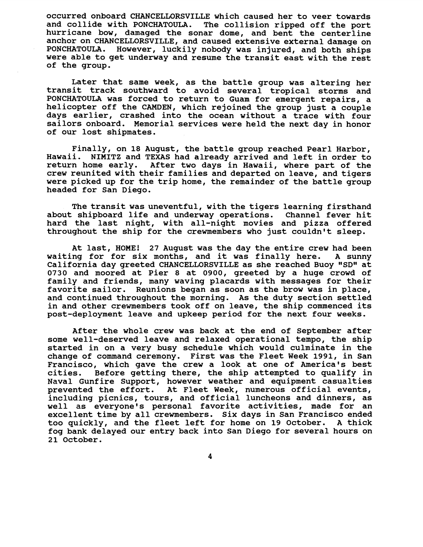**occurred onboard CHANCELLORSVILLE which caused her to veer towards and collide with PONCHATOULA. The collision ripped off the port hurricane bow, damaged the sonar dome, and bent the centerline anchor on CHANCELLORSVILLE, and caused extensive external damage on PONCHATOULA. However, luckily nobody was injured, and both ships were able to get underway and resume the transit east with the rest of the group.** 

**Later that same week, as the battle group was altering her transit track southward to avoid several tropical storms and PONCHATOULA was forced to return to Guam for emergent repairs, a helicopter off the CAMDEN, which rejoined the group just a couple days earlier, crashed into the ocean without a trace with four sailors onboard. Memorial services were held the next day in honor of our lost shipmates.** 

**Finally, on 18 August, the battle group reached Pearl Harbor, Hawaii. NIMITZ and TEXAS had already arrived and left in order to**  After two days in Hawaii, where part of the **crew reunited with their families and departed on leave, and tigers were picked up for the trip home, the remainder of the battle group headed for San Diego.** 

**The transit was uneventful, with the tigers learning firsthand**  about shipboard life and underway operations. **hard the last night, with all-night movies and pizza offered throughout the ship for the crewmembers who just couldn't sleep.** 

**At last, HOME! 27 August was the day the entire crew had been waiting for for six months, and it was finally here. A sunny California day greeted CHANCELLORSVILLE as she reached Buoy "SD" at 0730 and moored at Pier 8 at 0900, greeted by a huge crowd of family and friends, many waving placards with messages for their favorite sailor. Reunions began as soon as the brow was in place, and continued throughout the morning. As the duty section settled in and other crewmembers took off on leave, the ship commenced its post-deployment leave and upkeep period for the next four weeks.** 

**After the whole crew was back at the end of September after some well-deserved leave and relaxed operational tempo, the ship started in on a very busy schedule which would culminate in the change of command ceremony. First was the Fleet Week 1991, in San Francisco, which gave the crew a look at one of America's best**  Before getting there, the ship attempted to qualify in **Naval Gunfire Support, however weather and equipment casualties prevented the effort. At Fleet Week, numerous official events, including picnics, tours, and official luncheons and dinners, as well as everyone's personal favorite activities, made for an excellent time by all crewmembers. Six days in San Francisco ended too quickly, and the fleet left for home on 19 October. A thick fog bank delayed our entry back into San Diego for several hours on 21 October.**